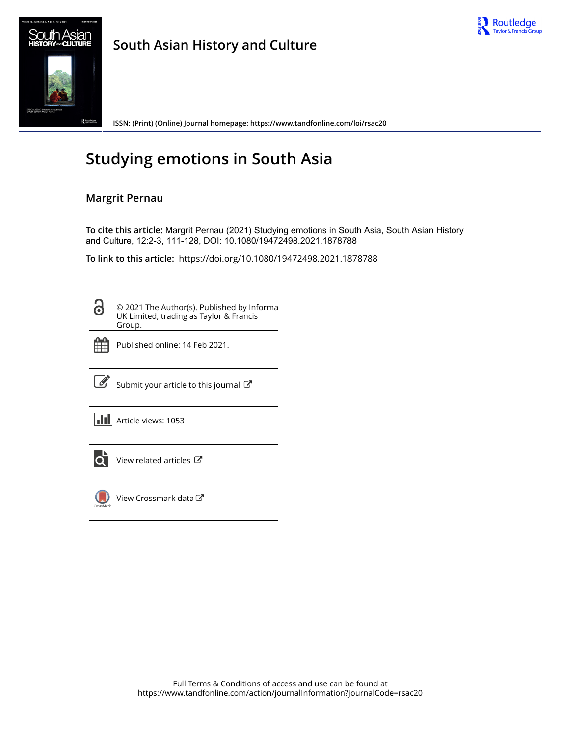



**South Asian History and Culture**

**ISSN: (Print) (Online) Journal homepage:<https://www.tandfonline.com/loi/rsac20>**

# **Studying emotions in South Asia**

# **Margrit Pernau**

**To cite this article:** Margrit Pernau (2021) Studying emotions in South Asia, South Asian History and Culture, 12:2-3, 111-128, DOI: [10.1080/19472498.2021.1878788](https://www.tandfonline.com/action/showCitFormats?doi=10.1080/19472498.2021.1878788)

**To link to this article:** <https://doi.org/10.1080/19472498.2021.1878788>

8

© 2021 The Author(s). Published by Informa UK Limited, trading as Taylor & Francis Group.



Published online: 14 Feb 2021.



 $\overrightarrow{S}$  [Submit your article to this journal](https://www.tandfonline.com/action/authorSubmission?journalCode=rsac20&show=instructions)  $\overrightarrow{S}$ 

**III** Article views: 1053



[View related articles](https://www.tandfonline.com/doi/mlt/10.1080/19472498.2021.1878788) C



[View Crossmark data](http://crossmark.crossref.org/dialog/?doi=10.1080/19472498.2021.1878788&domain=pdf&date_stamp=2021-02-14)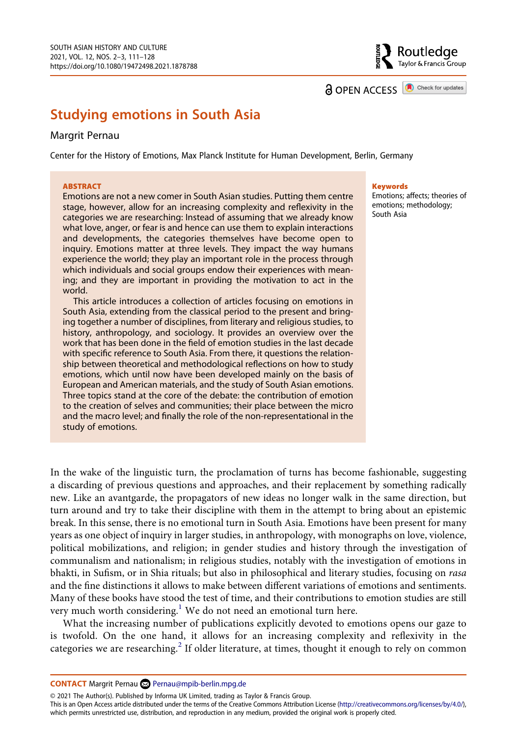

**a** OPEN ACCESS **a** Check for updates

# **Studying emotions in South Asia**

### Margrit Pernau

Center for the History of Emotions, Max Planck Institute for Human Development, Berlin, Germany

#### **ABSTRACT**

Emotions are not a new comer in South Asian studies. Putting them centre stage, however, allow for an increasing complexity and reflexivity in the categories we are researching: Instead of assuming that we already know what love, anger, or fear is and hence can use them to explain interactions and developments, the categories themselves have become open to inquiry. Emotions matter at three levels. They impact the way humans experience the world; they play an important role in the process through which individuals and social groups endow their experiences with meaning; and they are important in providing the motivation to act in the world.

This article introduces a collection of articles focusing on emotions in South Asia, extending from the classical period to the present and bringing together a number of disciplines, from literary and religious studies, to history, anthropology, and sociology. It provides an overview over the work that has been done in the field of emotion studies in the last decade with specific reference to South Asia. From there, it questions the relationship between theoretical and methodological reflections on how to study emotions, which until now have been developed mainly on the basis of European and American materials, and the study of South Asian emotions. Three topics stand at the core of the debate: the contribution of emotion to the creation of selves and communities; their place between the micro and the macro level; and finally the role of the non-representational in the study of emotions.

**Keywords** 

Emotions; affects; theories of emotions; methodology; South Asia

In the wake of the linguistic turn, the proclamation of turns has become fashionable, suggesting a discarding of previous questions and approaches, and their replacement by something radically new. Like an avantgarde, the propagators of new ideas no longer walk in the same direction, but turn around and try to take their discipline with them in the attempt to bring about an epistemic break. In this sense, there is no emotional turn in South Asia. Emotions have been present for many years as one object of inquiry in larger studies, in anthropology, with monographs on love, violence, political mobilizations, and religion; in gender studies and history through the investigation of communalism and nationalism; in religious studies, notably with the investigation of emotions in bhakti, in Sufism, or in Shia rituals; but also in philosophical and literary studies, focusing on *rasa*  and the fine distinctions it allows to make between different variations of emotions and sentiments. Many of these books have stood the test of time, and their contributions to emotion studies are still very much worth considering.<sup>1</sup> We do not need an emotional turn here.

What the increasing number of publications explicitly devoted to emotions opens our gaze to is twofold. On the one hand, it allows for an increasing complexity and reflexivity in the categories we are researching.<sup>2</sup> If older literature, at times, thought it enough to rely on common

**CONTACT** Margrit Pernau 2 Pernau@mpib-berlin.mpg.de

© 2021 The Author(s). Published by Informa UK Limited, trading as Taylor & Francis Group.

This is an Open Access article distributed under the terms of the Creative Commons Attribution License (http://creativecommons.org/licenses/by/4.0/), which permits unrestricted use, distribution, and reproduction in any medium, provided the original work is properly cited.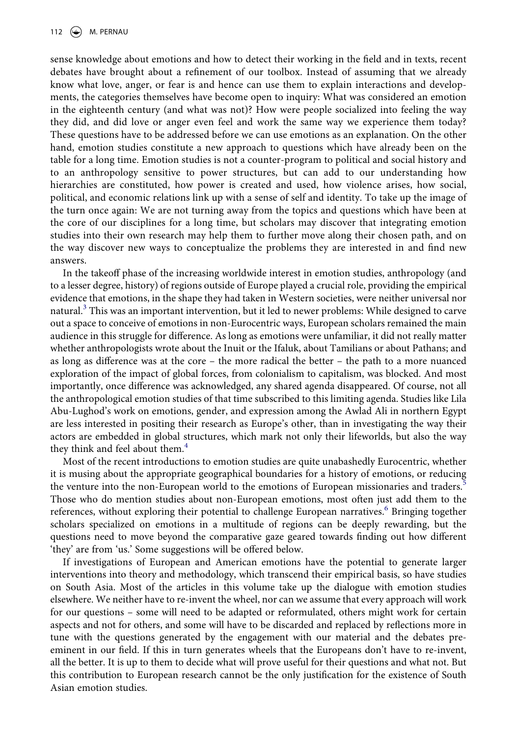sense knowledge about emotions and how to detect their working in the field and in texts, recent debates have brought about a refinement of our toolbox. Instead of assuming that we already know what love, anger, or fear is and hence can use them to explain interactions and developments, the categories themselves have become open to inquiry: What was considered an emotion in the eighteenth century (and what was not)? How were people socialized into feeling the way they did, and did love or anger even feel and work the same way we experience them today? These questions have to be addressed before we can use emotions as an explanation. On the other hand, emotion studies constitute a new approach to questions which have already been on the table for a long time. Emotion studies is not a counter-program to political and social history and to an anthropology sensitive to power structures, but can add to our understanding how hierarchies are constituted, how power is created and used, how violence arises, how social, political, and economic relations link up with a sense of self and identity. To take up the image of the turn once again: We are not turning away from the topics and questions which have been at the core of our disciplines for a long time, but scholars may discover that integrating emotion studies into their own research may help them to further move along their chosen path, and on the way discover new ways to conceptualize the problems they are interested in and find new answers.

In the takeoff phase of the increasing worldwide interest in emotion studies, anthropology (and to a lesser degree, history) of regions outside of Europe played a crucial role, providing the empirical evidence that emotions, in the shape they had taken in Western societies, were neither universal nor natural.<sup>3</sup> This was an important intervention, but it led to newer problems: While designed to carve out a space to conceive of emotions in non-Eurocentric ways, European scholars remained the main audience in this struggle for difference. As long as emotions were unfamiliar, it did not really matter whether anthropologists wrote about the Inuit or the Ifaluk, about Tamilians or about Pathans; and as long as difference was at the core – the more radical the better – the path to a more nuanced exploration of the impact of global forces, from colonialism to capitalism, was blocked. And most importantly, once difference was acknowledged, any shared agenda disappeared. Of course, not all the anthropological emotion studies of that time subscribed to this limiting agenda. Studies like Lila Abu-Lughod's work on emotions, gender, and expression among the Awlad Ali in northern Egypt are less interested in positing their research as Europe's other, than in investigating the way their actors are embedded in global structures, which mark not only their lifeworlds, but also the way they think and feel about them. $4$ 

Most of the recent introductions to emotion studies are quite unabashedly Eurocentric, whether it is musing about the appropriate geographical boundaries for a history of emotions, or reducing the venture into the non-European world to the emotions of European missionaries and traders.<sup>[5](#page-13-3)</sup> Those who do mention studies about non-European emotions, most often just add them to the references, without exploring their potential to challenge European narratives.<sup>6</sup> Bringing together scholars specialized on emotions in a multitude of regions can be deeply rewarding, but the questions need to move beyond the comparative gaze geared towards finding out how different 'they' are from 'us.' Some suggestions will be offered below.

If investigations of European and American emotions have the potential to generate larger interventions into theory and methodology, which transcend their empirical basis, so have studies on South Asia. Most of the articles in this volume take up the dialogue with emotion studies elsewhere. We neither have to re-invent the wheel, nor can we assume that every approach will work for our questions – some will need to be adapted or reformulated, others might work for certain aspects and not for others, and some will have to be discarded and replaced by reflections more in tune with the questions generated by the engagement with our material and the debates preeminent in our field. If this in turn generates wheels that the Europeans don't have to re-invent, all the better. It is up to them to decide what will prove useful for their questions and what not. But this contribution to European research cannot be the only justification for the existence of South Asian emotion studies.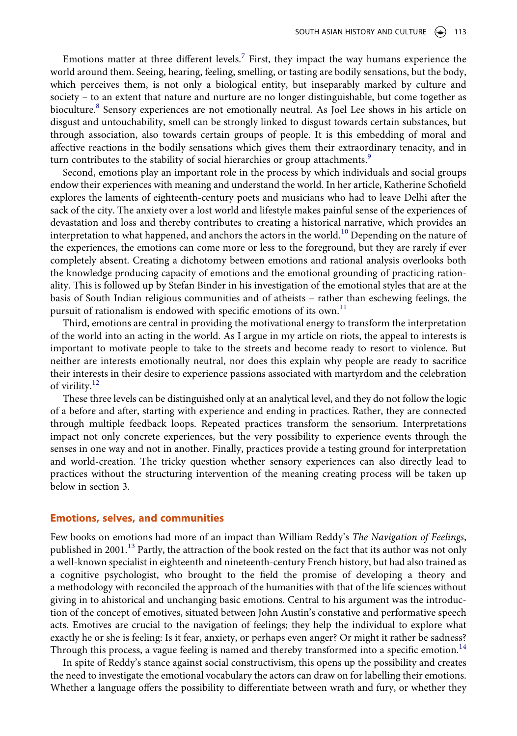Emotions matter at three different levels.<sup>7</sup> First, they impact the way humans experience the world around them. Seeing, hearing, feeling, smelling, or tasting are bodily sensations, but the body, which perceives them, is not only a biological entity, but inseparably marked by culture and society – to an extent that nature and nurture are no longer distinguishable, but come together as bioculture.<sup>[8](#page-13-6)</sup> Sensory experiences are not emotionally neutral. As Joel Lee shows in his article on disgust and untouchability, smell can be strongly linked to disgust towards certain substances, but through association, also towards certain groups of people. It is this embedding of moral and affective reactions in the bodily sensations which gives them their extraordinary tenacity, and in turn contributes to the stability of social hierarchies or group attachments.<sup>[9](#page-13-7)</sup>

Second, emotions play an important role in the process by which individuals and social groups endow their experiences with meaning and understand the world. In her article, Katherine Schofield explores the laments of eighteenth-century poets and musicians who had to leave Delhi after the sack of the city. The anxiety over a lost world and lifestyle makes painful sense of the experiences of devastation and loss and thereby contributes to creating a historical narrative, which provides an interpretation to what happened, and anchors the actors in the world.<sup>10</sup> Depending on the nature of the experiences, the emotions can come more or less to the foreground, but they are rarely if ever completely absent. Creating a dichotomy between emotions and rational analysis overlooks both the knowledge producing capacity of emotions and the emotional grounding of practicing rationality. This is followed up by Stefan Binder in his investigation of the emotional styles that are at the basis of South Indian religious communities and of atheists – rather than eschewing feelings, the pursuit of rationalism is endowed with specific emotions of its own.<sup>[11](#page-13-9)</sup>

Third, emotions are central in providing the motivational energy to transform the interpretation of the world into an acting in the world. As I argue in my article on riots, the appeal to interests is important to motivate people to take to the streets and become ready to resort to violence. But neither are interests emotionally neutral, nor does this explain why people are ready to sacrifice their interests in their desire to experience passions associated with martyrdom and the celebration of virility.<sup>[12](#page-13-10)</sup>

These three levels can be distinguished only at an analytical level, and they do not follow the logic of a before and after, starting with experience and ending in practices. Rather, they are connected through multiple feedback loops. Repeated practices transform the sensorium. Interpretations impact not only concrete experiences, but the very possibility to experience events through the senses in one way and not in another. Finally, practices provide a testing ground for interpretation and world-creation. The tricky question whether sensory experiences can also directly lead to practices without the structuring intervention of the meaning creating process will be taken up below in section 3.

#### **Emotions, selves, and communities**

Few books on emotions had more of an impact than William Reddy's *The Navigation of Feelings*, published in 2001.<sup>13</sup> Partly, the attraction of the book rested on the fact that its author was not only a well-known specialist in eighteenth and nineteenth-century French history, but had also trained as a cognitive psychologist, who brought to the field the promise of developing a theory and a methodology with reconciled the approach of the humanities with that of the life sciences without giving in to ahistorical and unchanging basic emotions. Central to his argument was the introduction of the concept of emotives, situated between John Austin's constative and performative speech acts. Emotives are crucial to the navigation of feelings; they help the individual to explore what exactly he or she is feeling: Is it fear, anxiety, or perhaps even anger? Or might it rather be sadness? Through this process, a vague feeling is named and thereby transformed into a specific emotion.<sup>[14](#page-13-12)</sup>

In spite of Reddy's stance against social constructivism, this opens up the possibility and creates the need to investigate the emotional vocabulary the actors can draw on for labelling their emotions. Whether a language offers the possibility to differentiate between wrath and fury, or whether they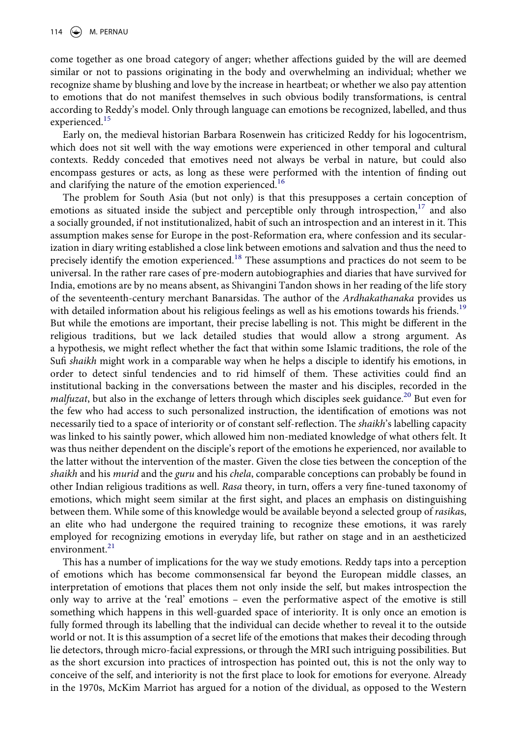come together as one broad category of anger; whether affections guided by the will are deemed similar or not to passions originating in the body and overwhelming an individual; whether we recognize shame by blushing and love by the increase in heartbeat; or whether we also pay attention to emotions that do not manifest themselves in such obvious bodily transformations, is central according to Reddy's model. Only through language can emotions be recognized, labelled, and thus experienced.<sup>[15](#page-13-13)</sup>

Early on, the medieval historian Barbara Rosenwein has criticized Reddy for his logocentrism, which does not sit well with the way emotions were experienced in other temporal and cultural contexts. Reddy conceded that emotives need not always be verbal in nature, but could also encompass gestures or acts, as long as these were performed with the intention of finding out and clarifying the nature of the emotion experienced.<sup>[16](#page-13-14)</sup>

The problem for South Asia (but not only) is that this presupposes a certain conception of emotions as situated inside the subject and perceptible only through introspection, $17$  and also a socially grounded, if not institutionalized, habit of such an introspection and an interest in it. This assumption makes sense for Europe in the post-Reformation era, where confession and its secularization in diary writing established a close link between emotions and salvation and thus the need to precisely identify the emotion experienced.<sup>18</sup> These assumptions and practices do not seem to be universal. In the rather rare cases of pre-modern autobiographies and diaries that have survived for India, emotions are by no means absent, as Shivangini Tandon shows in her reading of the life story of the seventeenth-century merchant Banarsidas. The author of the *Ardhakathanaka* provides us with detailed information about his religious feelings as well as his emotions towards his friends.<sup>[19](#page-13-17)</sup> But while the emotions are important, their precise labelling is not. This might be different in the religious traditions, but we lack detailed studies that would allow a strong argument. As a hypothesis, we might reflect whether the fact that within some Islamic traditions, the role of the Sufi *shaikh* might work in a comparable way when he helps a disciple to identify his emotions, in order to detect sinful tendencies and to rid himself of them. These activities could find an institutional backing in the conversations between the master and his disciples, recorded in the *malfuzat*, but also in the exchange of letters through which disciples seek guidance.<sup>20</sup> But even for the few who had access to such personalized instruction, the identification of emotions was not necessarily tied to a space of interiority or of constant self-reflection. The *shaikh*'s labelling capacity was linked to his saintly power, which allowed him non-mediated knowledge of what others felt. It was thus neither dependent on the disciple's report of the emotions he experienced, nor available to the latter without the intervention of the master. Given the close ties between the conception of the *shaikh* and his *murid* and the *guru* and his *chela*, comparable conceptions can probably be found in other Indian religious traditions as well. *Rasa* theory, in turn, offers a very fine-tuned taxonomy of emotions, which might seem similar at the first sight, and places an emphasis on distinguishing between them. While some of this knowledge would be available beyond a selected group of *rasika*s, an elite who had undergone the required training to recognize these emotions, it was rarely employed for recognizing emotions in everyday life, but rather on stage and in an aestheticized environment.<sup>[21](#page-13-19)</sup>

This has a number of implications for the way we study emotions. Reddy taps into a perception of emotions which has become commonsensical far beyond the European middle classes, an interpretation of emotions that places them not only inside the self, but makes introspection the only way to arrive at the 'real' emotions – even the performative aspect of the emotive is still something which happens in this well-guarded space of interiority. It is only once an emotion is fully formed through its labelling that the individual can decide whether to reveal it to the outside world or not. It is this assumption of a secret life of the emotions that makes their decoding through lie detectors, through micro-facial expressions, or through the MRI such intriguing possibilities. But as the short excursion into practices of introspection has pointed out, this is not the only way to conceive of the self, and interiority is not the first place to look for emotions for everyone. Already in the 1970s, McKim Marriot has argued for a notion of the dividual, as opposed to the Western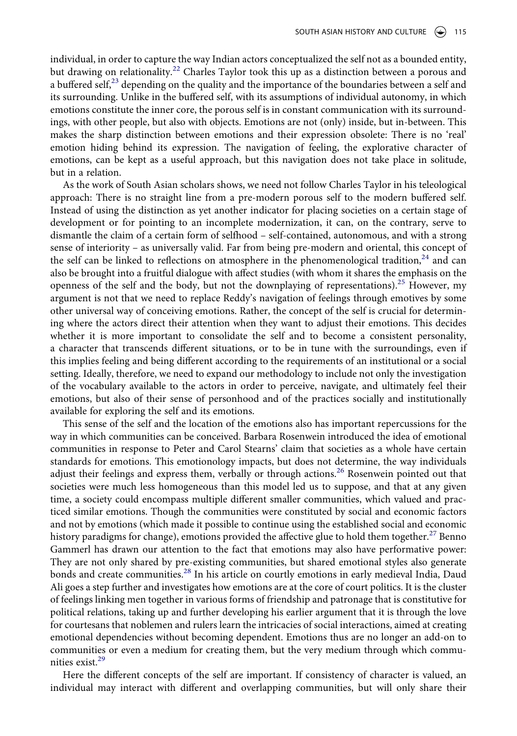individual, in order to capture the way Indian actors conceptualized the self not as a bounded entity, but drawing on relationality.<sup>[22](#page-13-20)</sup> Charles Taylor took this up as a distinction between a porous and a buffered self, $^{23}$  depending on the quality and the importance of the boundaries between a self and its surrounding. Unlike in the buffered self, with its assumptions of individual autonomy, in which emotions constitute the inner core, the porous self is in constant communication with its surroundings, with other people, but also with objects. Emotions are not (only) inside, but in-between. This makes the sharp distinction between emotions and their expression obsolete: There is no 'real' emotion hiding behind its expression. The navigation of feeling, the explorative character of emotions, can be kept as a useful approach, but this navigation does not take place in solitude, but in a relation.

As the work of South Asian scholars shows, we need not follow Charles Taylor in his teleological approach: There is no straight line from a pre-modern porous self to the modern buffered self. Instead of using the distinction as yet another indicator for placing societies on a certain stage of development or for pointing to an incomplete modernization, it can, on the contrary, serve to dismantle the claim of a certain form of selfhood – self-contained, autonomous, and with a strong sense of interiority – as universally valid. Far from being pre-modern and oriental, this concept of the self can be linked to reflections on atmosphere in the phenomenological tradition,<sup>[24](#page-13-22)</sup> and can also be brought into a fruitful dialogue with affect studies (with whom it shares the emphasis on the openness of the self and the body, but not the downplaying of representations).<sup>25</sup> However, my argument is not that we need to replace Reddy's navigation of feelings through emotives by some other universal way of conceiving emotions. Rather, the concept of the self is crucial for determining where the actors direct their attention when they want to adjust their emotions. This decides whether it is more important to consolidate the self and to become a consistent personality, a character that transcends different situations, or to be in tune with the surroundings, even if this implies feeling and being different according to the requirements of an institutional or a social setting. Ideally, therefore, we need to expand our methodology to include not only the investigation of the vocabulary available to the actors in order to perceive, navigate, and ultimately feel their emotions, but also of their sense of personhood and of the practices socially and institutionally available for exploring the self and its emotions.

This sense of the self and the location of the emotions also has important repercussions for the way in which communities can be conceived. Barbara Rosenwein introduced the idea of emotional communities in response to Peter and Carol Stearns' claim that societies as a whole have certain standards for emotions. This emotionology impacts, but does not determine, the way individuals adjust their feelings and express them, verbally or through actions.<sup>26</sup> Rosenwein pointed out that societies were much less homogeneous than this model led us to suppose, and that at any given time, a society could encompass multiple different smaller communities, which valued and practiced similar emotions. Though the communities were constituted by social and economic factors and not by emotions (which made it possible to continue using the established social and economic history paradigms for change), emotions provided the affective glue to hold them together.<sup>27</sup> Benno Gammerl has drawn our attention to the fact that emotions may also have performative power: They are not only shared by pre-existing communities, but shared emotional styles also generate bonds and create communities.<sup>[28](#page-13-26)</sup> In his article on courtly emotions in early medieval India, Daud Ali goes a step further and investigates how emotions are at the core of court politics. It is the cluster of feelings linking men together in various forms of friendship and patronage that is constitutive for political relations, taking up and further developing his earlier argument that it is through the love for courtesans that noblemen and rulers learn the intricacies of social interactions, aimed at creating emotional dependencies without becoming dependent. Emotions thus are no longer an add-on to communities or even a medium for creating them, but the very medium through which communities exist[.29](#page-13-27)

Here the different concepts of the self are important. If consistency of character is valued, an individual may interact with different and overlapping communities, but will only share their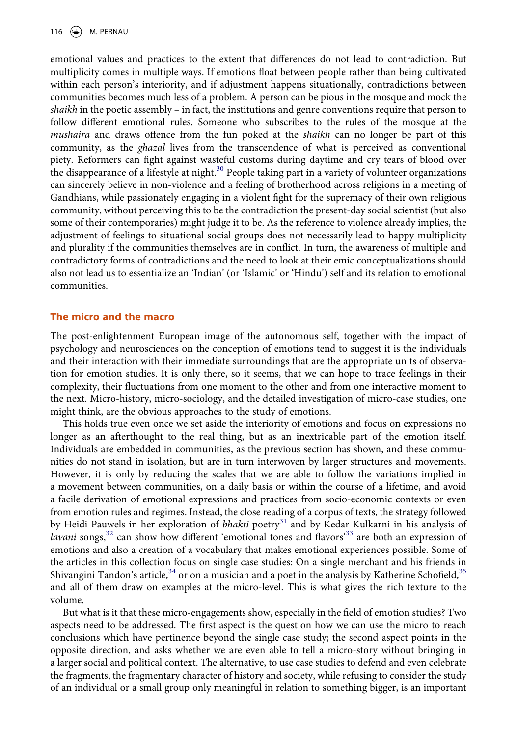116  $\left(\bigstar\right)$  M. PERNAU

emotional values and practices to the extent that differences do not lead to contradiction. But multiplicity comes in multiple ways. If emotions float between people rather than being cultivated within each person's interiority, and if adjustment happens situationally, contradictions between communities becomes much less of a problem. A person can be pious in the mosque and mock the *shaikh* in the poetic assembly – in fact, the institutions and genre conventions require that person to follow different emotional rules. Someone who subscribes to the rules of the mosque at the *mushaira* and draws offence from the fun poked at the *shaikh* can no longer be part of this community, as the *ghazal* lives from the transcendence of what is perceived as conventional piety. Reformers can fight against wasteful customs during daytime and cry tears of blood over the disappearance of a lifestyle at night.<sup>30</sup> People taking part in a variety of volunteer organizations can sincerely believe in non-violence and a feeling of brotherhood across religions in a meeting of Gandhians, while passionately engaging in a violent fight for the supremacy of their own religious community, without perceiving this to be the contradiction the present-day social scientist (but also some of their contemporaries) might judge it to be. As the reference to violence already implies, the adjustment of feelings to situational social groups does not necessarily lead to happy multiplicity and plurality if the communities themselves are in conflict. In turn, the awareness of multiple and contradictory forms of contradictions and the need to look at their emic conceptualizations should also not lead us to essentialize an 'Indian' (or 'Islamic' or 'Hindu') self and its relation to emotional communities.

#### **The micro and the macro**

The post-enlightenment European image of the autonomous self, together with the impact of psychology and neurosciences on the conception of emotions tend to suggest it is the individuals and their interaction with their immediate surroundings that are the appropriate units of observation for emotion studies. It is only there, so it seems, that we can hope to trace feelings in their complexity, their fluctuations from one moment to the other and from one interactive moment to the next. Micro-history, micro-sociology, and the detailed investigation of micro-case studies, one might think, are the obvious approaches to the study of emotions.

This holds true even once we set aside the interiority of emotions and focus on expressions no longer as an afterthought to the real thing, but as an inextricable part of the emotion itself. Individuals are embedded in communities, as the previous section has shown, and these communities do not stand in isolation, but are in turn interwoven by larger structures and movements. However, it is only by reducing the scales that we are able to follow the variations implied in a movement between communities, on a daily basis or within the course of a lifetime, and avoid a facile derivation of emotional expressions and practices from socio-economic contexts or even from emotion rules and regimes. Instead, the close reading of a corpus of texts, the strategy followed by Heidi Pauwels in her exploration of *bhakti* poetry<sup>[31](#page-13-29)</sup> and by Kedar Kulkarni in his analysis of *lavani* songs,<sup>[32](#page-13-30)</sup> can show how different 'emotional tones and flavors<sup>[33](#page-13-31)</sup> are both an expression of emotions and also a creation of a vocabulary that makes emotional experiences possible. Some of the articles in this collection focus on single case studies: On a single merchant and his friends in Shivangini Tandon's article, $34$  or on a musician and a poet in the analysis by Katherine Schofield,  $35$ and all of them draw on examples at the micro-level. This is what gives the rich texture to the volume.

But what is it that these micro-engagements show, especially in the field of emotion studies? Two aspects need to be addressed. The first aspect is the question how we can use the micro to reach conclusions which have pertinence beyond the single case study; the second aspect points in the opposite direction, and asks whether we are even able to tell a micro-story without bringing in a larger social and political context. The alternative, to use case studies to defend and even celebrate the fragments, the fragmentary character of history and society, while refusing to consider the study of an individual or a small group only meaningful in relation to something bigger, is an important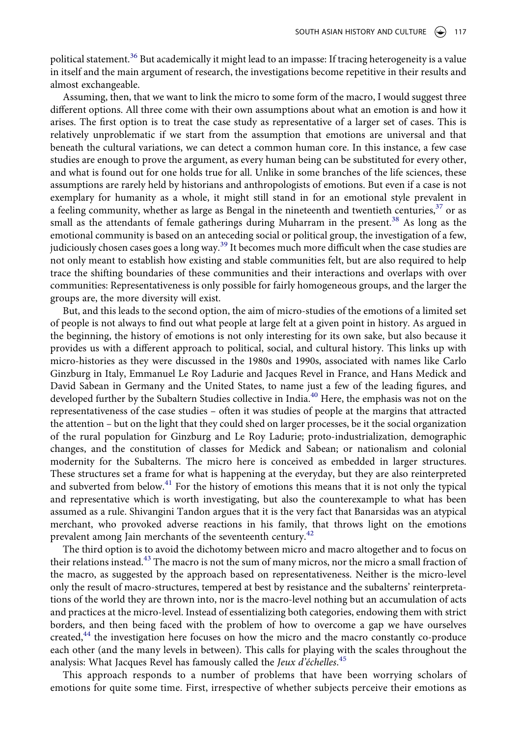political statement.<sup>[36](#page-13-34)</sup> But academically it might lead to an impasse: If tracing heterogeneity is a value in itself and the main argument of research, the investigations become repetitive in their results and almost exchangeable.

Assuming, then, that we want to link the micro to some form of the macro, I would suggest three different options. All three come with their own assumptions about what an emotion is and how it arises. The first option is to treat the case study as representative of a larger set of cases. This is relatively unproblematic if we start from the assumption that emotions are universal and that beneath the cultural variations, we can detect a common human core. In this instance, a few case studies are enough to prove the argument, as every human being can be substituted for every other, and what is found out for one holds true for all. Unlike in some branches of the life sciences, these assumptions are rarely held by historians and anthropologists of emotions. But even if a case is not exemplary for humanity as a whole, it might still stand in for an emotional style prevalent in a feeling community, whether as large as Bengal in the nineteenth and twentieth centuries,  $37$  or as small as the attendants of female gatherings during Muharram in the present.<sup>[38](#page-13-36)</sup> As long as the emotional community is based on an anteceding social or political group, the investigation of a few, judiciously chosen cases goes a long way.<sup>[39](#page-14-0)</sup> It becomes much more difficult when the case studies are not only meant to establish how existing and stable communities felt, but are also required to help trace the shifting boundaries of these communities and their interactions and overlaps with over communities: Representativeness is only possible for fairly homogeneous groups, and the larger the groups are, the more diversity will exist.

But, and this leads to the second option, the aim of micro-studies of the emotions of a limited set of people is not always to find out what people at large felt at a given point in history. As argued in the beginning, the history of emotions is not only interesting for its own sake, but also because it provides us with a different approach to political, social, and cultural history. This links up with micro-histories as they were discussed in the 1980s and 1990s, associated with names like Carlo Ginzburg in Italy, Emmanuel Le Roy Ladurie and Jacques Revel in France, and Hans Medick and David Sabean in Germany and the United States, to name just a few of the leading figures, and developed further by the Subaltern Studies collective in India.<sup>40</sup> Here, the emphasis was not on the representativeness of the case studies – often it was studies of people at the margins that attracted the attention – but on the light that they could shed on larger processes, be it the social organization of the rural population for Ginzburg and Le Roy Ladurie; proto-industrialization, demographic changes, and the constitution of classes for Medick and Sabean; or nationalism and colonial modernity for the Subalterns. The micro here is conceived as embedded in larger structures. These structures set a frame for what is happening at the everyday, but they are also reinterpreted and subverted from below.<sup>41</sup> For the history of emotions this means that it is not only the typical and representative which is worth investigating, but also the counterexample to what has been assumed as a rule. Shivangini Tandon argues that it is the very fact that Banarsidas was an atypical merchant, who provoked adverse reactions in his family, that throws light on the emotions prevalent among Jain merchants of the seventeenth century.<sup>42</sup>

The third option is to avoid the dichotomy between micro and macro altogether and to focus on their relations instead.<sup>43</sup> The macro is not the sum of many micros, nor the micro a small fraction of the macro, as suggested by the approach based on representativeness. Neither is the micro-level only the result of macro-structures, tempered at best by resistance and the subalterns' reinterpretations of the world they are thrown into, nor is the macro-level nothing but an accumulation of acts and practices at the micro-level. Instead of essentializing both categories, endowing them with strict borders, and then being faced with the problem of how to overcome a gap we have ourselves created,<sup>44</sup> the investigation here focuses on how the micro and the macro constantly co-produce each other (and the many levels in between). This calls for playing with the scales throughout the analysis: What Jacques Revel has famously called the *Jeux d'échelles*. [45](#page-14-6)

This approach responds to a number of problems that have been worrying scholars of emotions for quite some time. First, irrespective of whether subjects perceive their emotions as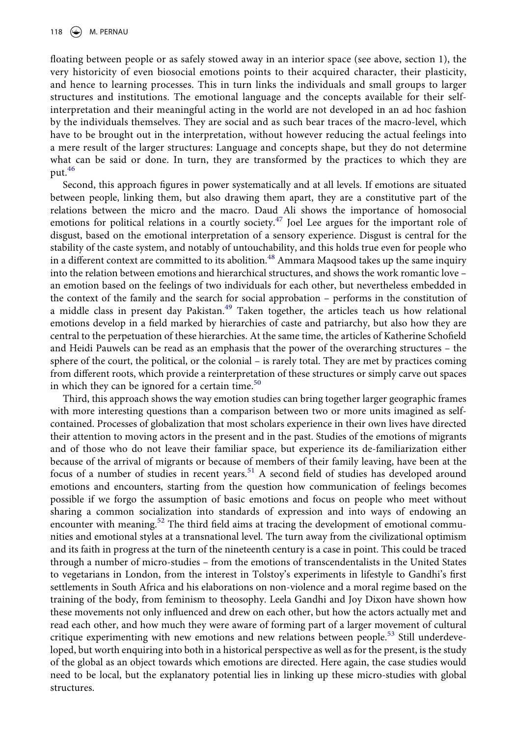floating between people or as safely stowed away in an interior space (see above, section 1), the very historicity of even biosocial emotions points to their acquired character, their plasticity, and hence to learning processes. This in turn links the individuals and small groups to larger structures and institutions. The emotional language and the concepts available for their selfinterpretation and their meaningful acting in the world are not developed in an ad hoc fashion by the individuals themselves. They are social and as such bear traces of the macro-level, which have to be brought out in the interpretation, without however reducing the actual feelings into a mere result of the larger structures: Language and concepts shape, but they do not determine what can be said or done. In turn, they are transformed by the practices to which they are put.[46](#page-14-7)

Second, this approach figures in power systematically and at all levels. If emotions are situated between people, linking them, but also drawing them apart, they are a constitutive part of the relations between the micro and the macro. Daud Ali shows the importance of homosocial emotions for political relations in a courtly society.<sup>[47](#page-14-8)</sup> Joel Lee argues for the important role of disgust, based on the emotional interpretation of a sensory experience. Disgust is central for the stability of the caste system, and notably of untouchability, and this holds true even for people who in a different context are committed to its abolition.<sup>[48](#page-14-9)</sup> Ammara Maqsood takes up the same inquiry into the relation between emotions and hierarchical structures, and shows the work romantic love – an emotion based on the feelings of two individuals for each other, but nevertheless embedded in the context of the family and the search for social approbation – performs in the constitution of a middle class in present day Pakistan.<sup>49</sup> Taken together, the articles teach us how relational emotions develop in a field marked by hierarchies of caste and patriarchy, but also how they are central to the perpetuation of these hierarchies. At the same time, the articles of Katherine Schofield and Heidi Pauwels can be read as an emphasis that the power of the overarching structures – the sphere of the court, the political, or the colonial – is rarely total. They are met by practices coming from different roots, which provide a reinterpretation of these structures or simply carve out spaces in which they can be ignored for a certain time.<sup>[50](#page-14-11)</sup>

Third, this approach shows the way emotion studies can bring together larger geographic frames with more interesting questions than a comparison between two or more units imagined as selfcontained. Processes of globalization that most scholars experience in their own lives have directed their attention to moving actors in the present and in the past. Studies of the emotions of migrants and of those who do not leave their familiar space, but experience its de-familiarization either because of the arrival of migrants or because of members of their family leaving, have been at the focus of a number of studies in recent years.<sup>[51](#page-14-12)</sup> A second field of studies has developed around emotions and encounters, starting from the question how communication of feelings becomes possible if we forgo the assumption of basic emotions and focus on people who meet without sharing a common socialization into standards of expression and into ways of endowing an encounter with meaning.<sup>[52](#page-14-13)</sup> The third field aims at tracing the development of emotional communities and emotional styles at a transnational level. The turn away from the civilizational optimism and its faith in progress at the turn of the nineteenth century is a case in point. This could be traced through a number of micro-studies – from the emotions of transcendentalists in the United States to vegetarians in London, from the interest in Tolstoy's experiments in lifestyle to Gandhi's first settlements in South Africa and his elaborations on non-violence and a moral regime based on the training of the body, from feminism to theosophy. Leela Gandhi and Joy Dixon have shown how these movements not only influenced and drew on each other, but how the actors actually met and read each other, and how much they were aware of forming part of a larger movement of cultural critique experimenting with new emotions and new relations between people.<sup>53</sup> Still underdeveloped, but worth enquiring into both in a historical perspective as well as for the present, is the study of the global as an object towards which emotions are directed. Here again, the case studies would need to be local, but the explanatory potential lies in linking up these micro-studies with global structures.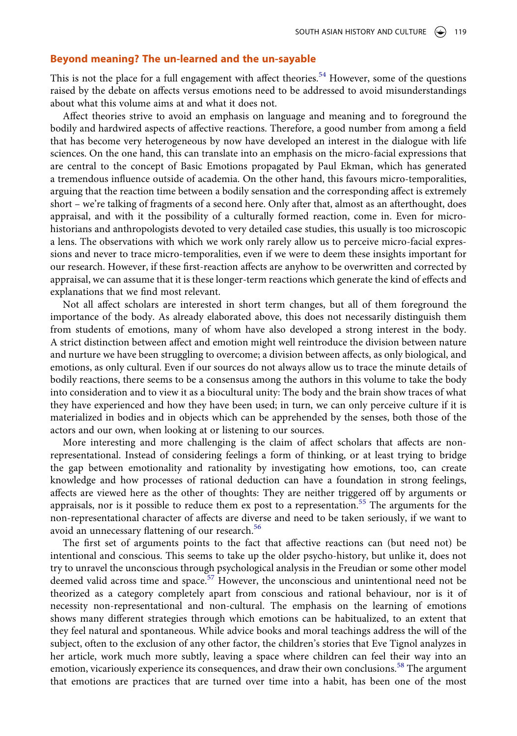## **Beyond meaning? The un-learned and the un-sayable**

This is not the place for a full engagement with affect theories.<sup>[54](#page-14-15)</sup> However, some of the questions raised by the debate on affects versus emotions need to be addressed to avoid misunderstandings about what this volume aims at and what it does not.

Affect theories strive to avoid an emphasis on language and meaning and to foreground the bodily and hardwired aspects of affective reactions. Therefore, a good number from among a field that has become very heterogeneous by now have developed an interest in the dialogue with life sciences. On the one hand, this can translate into an emphasis on the micro-facial expressions that are central to the concept of Basic Emotions propagated by Paul Ekman, which has generated a tremendous influence outside of academia. On the other hand, this favours micro-temporalities, arguing that the reaction time between a bodily sensation and the corresponding affect is extremely short – we're talking of fragments of a second here. Only after that, almost as an afterthought, does appraisal, and with it the possibility of a culturally formed reaction, come in. Even for microhistorians and anthropologists devoted to very detailed case studies, this usually is too microscopic a lens. The observations with which we work only rarely allow us to perceive micro-facial expressions and never to trace micro-temporalities, even if we were to deem these insights important for our research. However, if these first-reaction affects are anyhow to be overwritten and corrected by appraisal, we can assume that it is these longer-term reactions which generate the kind of effects and explanations that we find most relevant.

Not all affect scholars are interested in short term changes, but all of them foreground the importance of the body. As already elaborated above, this does not necessarily distinguish them from students of emotions, many of whom have also developed a strong interest in the body. A strict distinction between affect and emotion might well reintroduce the division between nature and nurture we have been struggling to overcome; a division between affects, as only biological, and emotions, as only cultural. Even if our sources do not always allow us to trace the minute details of bodily reactions, there seems to be a consensus among the authors in this volume to take the body into consideration and to view it as a biocultural unity: The body and the brain show traces of what they have experienced and how they have been used; in turn, we can only perceive culture if it is materialized in bodies and in objects which can be apprehended by the senses, both those of the actors and our own, when looking at or listening to our sources.

More interesting and more challenging is the claim of affect scholars that affects are nonrepresentational. Instead of considering feelings a form of thinking, or at least trying to bridge the gap between emotionality and rationality by investigating how emotions, too, can create knowledge and how processes of rational deduction can have a foundation in strong feelings, affects are viewed here as the other of thoughts: They are neither triggered off by arguments or appraisals, nor is it possible to reduce them ex post to a representation.<sup>55</sup> The arguments for the non-representational character of affects are diverse and need to be taken seriously, if we want to avoid an unnecessary flattening of our research.<sup>56</sup>

The first set of arguments points to the fact that affective reactions can (but need not) be intentional and conscious. This seems to take up the older psycho-history, but unlike it, does not try to unravel the unconscious through psychological analysis in the Freudian or some other model deemed valid across time and space.<sup>57</sup> However, the unconscious and unintentional need not be theorized as a category completely apart from conscious and rational behaviour, nor is it of necessity non-representational and non-cultural. The emphasis on the learning of emotions shows many different strategies through which emotions can be habitualized, to an extent that they feel natural and spontaneous. While advice books and moral teachings address the will of the subject, often to the exclusion of any other factor, the children's stories that Eve Tignol analyzes in her article, work much more subtly, leaving a space where children can feel their way into an emotion, vicariously experience its consequences, and draw their own conclusions.<sup>[58](#page-14-19)</sup> The argument that emotions are practices that are turned over time into a habit, has been one of the most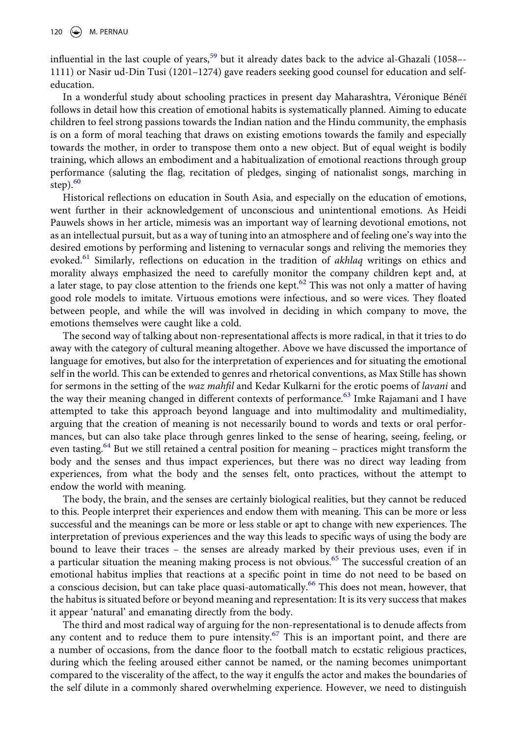influential in the last couple of years,<sup>[59](#page-14-20)</sup> but it already dates back to the advice al-Ghazali (1058– $-$ 1111) or Nasir ud-Din Tusi (1201–1274) gave readers seeking good counsel for education and selfeducation.

In a wonderful study about schooling practices in present day Maharashtra, Véronique Bénéï follows in detail how this creation of emotional habits is systematically planned. Aiming to educate children to feel strong passions towards the Indian nation and the Hindu community, the emphasis is on a form of moral teaching that draws on existing emotions towards the family and especially towards the mother, in order to transpose them onto a new object. But of equal weight is bodily training, which allows an embodiment and a habitualization of emotional reactions through group performance (saluting the flag, recitation of pledges, singing of nationalist songs, marching in step $).^{60}$  $).^{60}$  $).^{60}$ 

Historical reflections on education in South Asia, and especially on the education of emotions, went further in their acknowledgement of unconscious and unintentional emotions. As Heidi Pauwels shows in her article, mimesis was an important way of learning devotional emotions, not as an intellectual pursuit, but as a way of tuning into an atmosphere and of feeling one's way into the desired emotions by performing and listening to vernacular songs and reliving the memories they evoked.[61](#page-14-22) Similarly, reflections on education in the tradition of *akhlaq* writings on ethics and morality always emphasized the need to carefully monitor the company children kept and, at a later stage, to pay close attention to the friends one kept.<sup>62</sup> This was not only a matter of having good role models to imitate. Virtuous emotions were infectious, and so were vices. They floated between people, and while the will was involved in deciding in which company to move, the emotions themselves were caught like a cold.

The second way of talking about non-representational affects is more radical, in that it tries to do away with the category of cultural meaning altogether. Above we have discussed the importance of language for emotives, but also for the interpretation of experiences and for situating the emotional self in the world. This can be extended to genres and rhetorical conventions, as Max Stille has shown for sermons in the setting of the *waz mahfil* and Kedar Kulkarni for the erotic poems of *lavani* and the way their meaning changed in different contexts of performance.<sup>63</sup> Imke Rajamani and I have attempted to take this approach beyond language and into multimodality and multimediality, arguing that the creation of meaning is not necessarily bound to words and texts or oral performances, but can also take place through genres linked to the sense of hearing, seeing, feeling, or even tasting.<sup>64</sup> But we still retained a central position for meaning - practices might transform the body and the senses and thus impact experiences, but there was no direct way leading from experiences, from what the body and the senses felt, onto practices, without the attempt to endow the world with meaning.

The body, the brain, and the senses are certainly biological realities, but they cannot be reduced to this. People interpret their experiences and endow them with meaning. This can be more or less successful and the meanings can be more or less stable or apt to change with new experiences. The interpretation of previous experiences and the way this leads to specific ways of using the body are bound to leave their traces – the senses are already marked by their previous uses, even if in a particular situation the meaning making process is not obvious.<sup>65</sup> The successful creation of an emotional habitus implies that reactions at a specific point in time do not need to be based on a conscious decision, but can take place quasi-automatically.<sup>[66](#page-14-27)</sup> This does not mean, however, that the habitus is situated before or beyond meaning and representation: It is its very success that makes it appear 'natural' and emanating directly from the body.

The third and most radical way of arguing for the non-representational is to denude affects from any content and to reduce them to pure intensity.<sup>67</sup> This is an important point, and there are a number of occasions, from the dance floor to the football match to ecstatic religious practices, during which the feeling aroused either cannot be named, or the naming becomes unimportant compared to the viscerality of the affect, to the way it engulfs the actor and makes the boundaries of the self dilute in a commonly shared overwhelming experience. However, we need to distinguish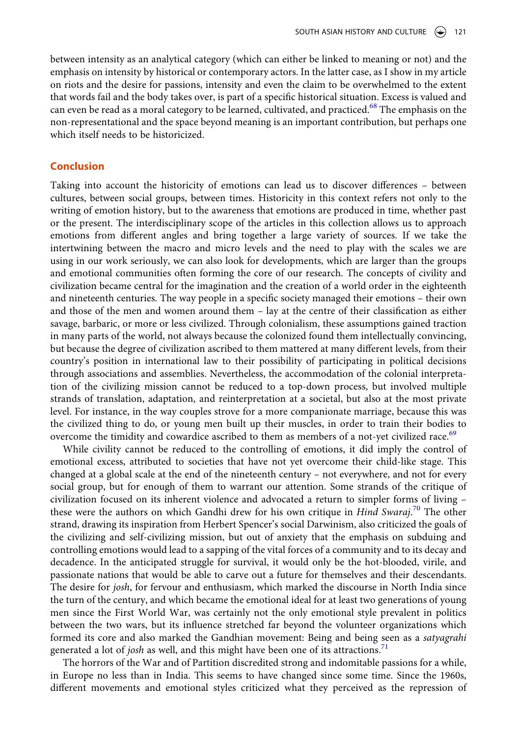between intensity as an analytical category (which can either be linked to meaning or not) and the emphasis on intensity by historical or contemporary actors. In the latter case, as I show in my article on riots and the desire for passions, intensity and even the claim to be overwhelmed to the extent that words fail and the body takes over, is part of a specific historical situation. Excess is valued and can even be read as a moral category to be learned, cultivated, and practiced.<sup>68</sup> The emphasis on the non-representational and the space beyond meaning is an important contribution, but perhaps one which itself needs to be historicized.

#### **Conclusion**

Taking into account the historicity of emotions can lead us to discover differences – between cultures, between social groups, between times. Historicity in this context refers not only to the writing of emotion history, but to the awareness that emotions are produced in time, whether past or the present. The interdisciplinary scope of the articles in this collection allows us to approach emotions from different angles and bring together a large variety of sources. If we take the intertwining between the macro and micro levels and the need to play with the scales we are using in our work seriously, we can also look for developments, which are larger than the groups and emotional communities often forming the core of our research. The concepts of civility and civilization became central for the imagination and the creation of a world order in the eighteenth and nineteenth centuries. The way people in a specific society managed their emotions – their own and those of the men and women around them – lay at the centre of their classification as either savage, barbaric, or more or less civilized. Through colonialism, these assumptions gained traction in many parts of the world, not always because the colonized found them intellectually convincing, but because the degree of civilization ascribed to them mattered at many different levels, from their country's position in international law to their possibility of participating in political decisions through associations and assemblies. Nevertheless, the accommodation of the colonial interpretation of the civilizing mission cannot be reduced to a top-down process, but involved multiple strands of translation, adaptation, and reinterpretation at a societal, but also at the most private level. For instance, in the way couples strove for a more companionate marriage, because this was the civilized thing to do, or young men built up their muscles, in order to train their bodies to overcome the timidity and cowardice ascribed to them as members of a not-yet civilized race.<sup>[69](#page-14-30)</sup>

While civility cannot be reduced to the controlling of emotions, it did imply the control of emotional excess, attributed to societies that have not yet overcome their child-like stage. This changed at a global scale at the end of the nineteenth century – not everywhere, and not for every social group, but for enough of them to warrant our attention. Some strands of the critique of civilization focused on its inherent violence and advocated a return to simpler forms of living – these were the authors on which Gandhi drew for his own critique in *Hind Swaraj*. [70](#page-14-31) The other strand, drawing its inspiration from Herbert Spencer's social Darwinism, also criticized the goals of the civilizing and self-civilizing mission, but out of anxiety that the emphasis on subduing and controlling emotions would lead to a sapping of the vital forces of a community and to its decay and decadence. In the anticipated struggle for survival, it would only be the hot-blooded, virile, and passionate nations that would be able to carve out a future for themselves and their descendants. The desire for *josh*, for fervour and enthusiasm, which marked the discourse in North India since the turn of the century, and which became the emotional ideal for at least two generations of young men since the First World War, was certainly not the only emotional style prevalent in politics between the two wars, but its influence stretched far beyond the volunteer organizations which formed its core and also marked the Gandhian movement: Being and being seen as a *satyagrahi*  generated a lot of *josh* as well, and this might have been one of its attractions.<sup>[71](#page-14-32)</sup>

The horrors of the War and of Partition discredited strong and indomitable passions for a while, in Europe no less than in India. This seems to have changed since some time. Since the 1960s, different movements and emotional styles criticized what they perceived as the repression of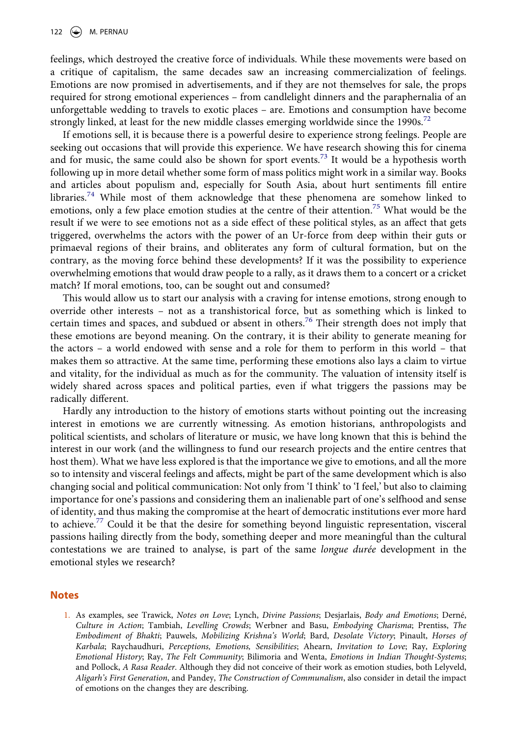feelings, which destroyed the creative force of individuals. While these movements were based on a critique of capitalism, the same decades saw an increasing commercialization of feelings. Emotions are now promised in advertisements, and if they are not themselves for sale, the props required for strong emotional experiences – from candlelight dinners and the paraphernalia of an unforgettable wedding to travels to exotic places – are. Emotions and consumption have become strongly linked, at least for the new middle classes emerging worldwide since the 1990s.<sup>[72](#page-14-33)</sup>

If emotions sell, it is because there is a powerful desire to experience strong feelings. People are seeking out occasions that will provide this experience. We have research showing this for cinema and for music, the same could also be shown for sport events.<sup>73</sup> It would be a hypothesis worth following up in more detail whether some form of mass politics might work in a similar way. Books and articles about populism and, especially for South Asia, about hurt sentiments fill entire libraries.<sup>74</sup> While most of them acknowledge that these phenomena are somehow linked to emotions, only a few place emotion studies at the centre of their attention.<sup>75</sup> What would be the result if we were to see emotions not as a side effect of these political styles, as an affect that gets triggered, overwhelms the actors with the power of an Ur-force from deep within their guts or primaeval regions of their brains, and obliterates any form of cultural formation, but on the contrary, as the moving force behind these developments? If it was the possibility to experience overwhelming emotions that would draw people to a rally, as it draws them to a concert or a cricket match? If moral emotions, too, can be sought out and consumed?

This would allow us to start our analysis with a craving for intense emotions, strong enough to override other interests – not as a transhistorical force, but as something which is linked to certain times and spaces, and subdued or absent in others.<sup>[76](#page-14-37)</sup> Their strength does not imply that these emotions are beyond meaning. On the contrary, it is their ability to generate meaning for the actors – a world endowed with sense and a role for them to perform in this world – that makes them so attractive. At the same time, performing these emotions also lays a claim to virtue and vitality, for the individual as much as for the community. The valuation of intensity itself is widely shared across spaces and political parties, even if what triggers the passions may be radically different.

Hardly any introduction to the history of emotions starts without pointing out the increasing interest in emotions we are currently witnessing. As emotion historians, anthropologists and political scientists, and scholars of literature or music, we have long known that this is behind the interest in our work (and the willingness to fund our research projects and the entire centres that host them). What we have less explored is that the importance we give to emotions, and all the more so to intensity and visceral feelings and affects, might be part of the same development which is also changing social and political communication: Not only from 'I think' to 'I feel,' but also to claiming importance for one's passions and considering them an inalienable part of one's selfhood and sense of identity, and thus making the compromise at the heart of democratic institutions ever more hard to achieve.<sup>77</sup> Could it be that the desire for something beyond linguistic representation, visceral passions hailing directly from the body, something deeper and more meaningful than the cultural contestations we are trained to analyse, is part of the same *longue durée* development in the emotional styles we research?

#### **Notes**

<span id="page-12-0"></span>1. As examples, see Trawick, *Notes on Love*; Lynch, *Divine Passions*; Desjarlais, *Body and Emotions*; Derné, *Culture in Action*; Tambiah, *Levelling Crowds*; Werbner and Basu, *Embodying Charisma*; Prentiss, *The Embodiment of Bhakti*; Pauwels, *Mobilizing Krishna's World*; Bard, *Desolate Victory*; Pinault, *Horses of Karbala*; Raychaudhuri, *Perceptions, Emotions, Sensibilities*; Ahearn, *Invitation to Love*; Ray, *Exploring Emotional History*; Ray, *The Felt Community*; Bilimoria and Wenta, *Emotions in Indian Thought-Systems*; and Pollock, *A Rasa Reader*. Although they did not conceive of their work as emotion studies, both Lelyveld, *Aligarh's First Generation*, and Pandey, *The Construction of Communalism*, also consider in detail the impact of emotions on the changes they are describing.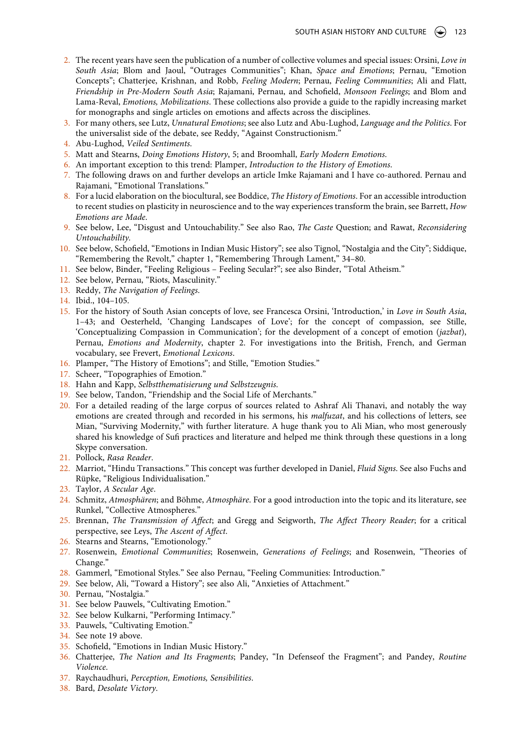- <span id="page-13-0"></span>2. The recent years have seen the publication of a number of collective volumes and special issues: Orsini, *Love in South Asia*; Blom and Jaoul, "Outrages Communities"; Khan, *Space and Emotions*; Pernau, "Emotion Concepts"; Chatterjee, Krishnan, and Robb, *Feeling Modern*; Pernau, *Feeling Communities*; Ali and Flatt, *Friendship in Pre-Modern South Asia*; Rajamani, Pernau, and Schofield, *Monsoon Feelings*; and Blom and Lama-Reval, *Emotions, Mobilizations*. These collections also provide a guide to the rapidly increasing market for monographs and single articles on emotions and affects across the disciplines.
- <span id="page-13-1"></span>3. For many others, see Lutz, *Unnatural Emotions*; see also Lutz and Abu-Lughod, *Language and the Politics*. For the universalist side of the debate, see Reddy, "Against Constructionism."
- <span id="page-13-2"></span>4. Abu-Lughod, *Veiled Sentiments*.
- <span id="page-13-3"></span>5. Matt and Stearns, *Doing Emotions History*, 5; and Broomhall, *Early Modern Emotions*.
- <span id="page-13-4"></span>6. An important exception to this trend: Plamper, *Introduction to the History of Emotions*.
- <span id="page-13-5"></span>7. The following draws on and further develops an article Imke Rajamani and I have co-authored. Pernau and Rajamani, "Emotional Translations."
- <span id="page-13-6"></span>8. For a lucid elaboration on the biocultural, see Boddice, *The History of Emotions*. For an accessible introduction to recent studies on plasticity in neuroscience and to the way experiences transform the brain, see Barrett, *How Emotions are Made*.
- <span id="page-13-7"></span>9. See below, Lee, "Disgust and Untouchability." See also Rao, *The Caste* Question; and Rawat, *Reconsidering Untouchability.*
- <span id="page-13-8"></span>10. See below, Schofield, "Emotions in Indian Music History"; see also Tignol, "Nostalgia and the City"; Siddique, "Remembering the Revolt," chapter 1, "Remembering Through Lament," 34–80.
- <span id="page-13-9"></span>11. See below, Binder, "Feeling Religious – Feeling Secular?"; see also Binder, "Total Atheism."
- <span id="page-13-10"></span>12. See below, Pernau, "Riots, Masculinity."
- <span id="page-13-11"></span>13. Reddy, *The Navigation of Feelings*.
- <span id="page-13-12"></span>14. Ibid., 104–105.
- <span id="page-13-13"></span>15. For the history of South Asian concepts of love, see Francesca Orsini, 'Introduction,' in *Love in South Asia*, 1–43; and Oesterheld, 'Changing Landscapes of Love'; for the concept of compassion, see Stille, 'Conceptualizing Compassion in Communication'; for the development of a concept of emotion (*jazbat*), Pernau, *Emotions and Modernity*, chapter 2. For investigations into the British, French, and German vocabulary, see Frevert, *Emotional Lexicons*.
- <span id="page-13-14"></span>16. Plamper, "The History of Emotions"; and Stille, "Emotion Studies."
- <span id="page-13-15"></span>17. Scheer, "Topographies of Emotion."
- <span id="page-13-16"></span>18. Hahn and Kapp, *Selbstthematisierung und Selbstzeugnis*.
- <span id="page-13-17"></span>19. See below, Tandon, "Friendship and the Social Life of Merchants."
- <span id="page-13-18"></span>20. For a detailed reading of the large corpus of sources related to Ashraf Ali Thanavi, and notably the way emotions are created through and recorded in his sermons, his *malfuzat*, and his collections of letters, see Mian, "Surviving Modernity," with further literature. A huge thank you to Ali Mian, who most generously shared his knowledge of Sufi practices and literature and helped me think through these questions in a long Skype conversation.
- <span id="page-13-19"></span>21. Pollock, *Rasa Reader*.
- <span id="page-13-20"></span>22. Marriot, "Hindu Transactions." This concept was further developed in Daniel, *Fluid Signs*. See also Fuchs and Rüpke, "Religious Individualisation."
- <span id="page-13-21"></span>23. Taylor, *A Secular Age*.
- <span id="page-13-22"></span>24. Schmitz, *Atmosphären*; and Böhme, *Atmosphäre*. For a good introduction into the topic and its literature, see Runkel, "Collective Atmospheres."
- <span id="page-13-23"></span>25. Brennan, *The Transmission of Affect*; and Gregg and Seigworth, *The Affect Theory Reader*; for a critical perspective, see Leys, *The Ascent of Affect*.
- <span id="page-13-24"></span>26. Stearns and Stearns, "Emotionology."
- <span id="page-13-25"></span>27. Rosenwein, *Emotional Communities*; Rosenwein, *Generations of Feelings*; and Rosenwein, "Theories of Change."
- <span id="page-13-26"></span>28. Gammerl, "Emotional Styles." See also Pernau, "Feeling Communities: Introduction."
- <span id="page-13-27"></span>29. See below, Ali, "Toward a History"; see also Ali, "Anxieties of Attachment."
- <span id="page-13-28"></span>30. Pernau, "Nostalgia."
- <span id="page-13-29"></span>31. See below Pauwels, "Cultivating Emotion."
- <span id="page-13-30"></span>32. See below Kulkarni, "Performing Intimacy."
- <span id="page-13-31"></span>33. Pauwels, "Cultivating Emotion."
- <span id="page-13-32"></span>34. See note 19 above.
- <span id="page-13-33"></span>35. Schofield, "Emotions in Indian Music History."
- <span id="page-13-34"></span>36. Chatterjee, *The Nation and Its Fragments*; Pandey, "In Defenseof the Fragment"; and Pandey, *Routine Violence*.
- <span id="page-13-35"></span>37. Raychaudhuri, *Perception, Emotions, Sensibilities*.
- <span id="page-13-36"></span>38. Bard, *Desolate Victory*.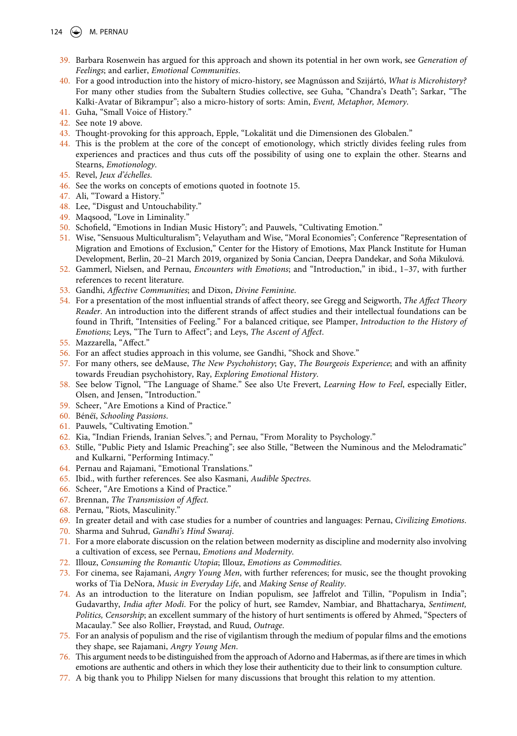- <span id="page-14-38"></span><span id="page-14-37"></span><span id="page-14-36"></span><span id="page-14-35"></span><span id="page-14-34"></span><span id="page-14-33"></span><span id="page-14-32"></span><span id="page-14-31"></span><span id="page-14-30"></span><span id="page-14-29"></span><span id="page-14-28"></span><span id="page-14-27"></span><span id="page-14-26"></span><span id="page-14-25"></span><span id="page-14-24"></span><span id="page-14-23"></span><span id="page-14-22"></span><span id="page-14-21"></span><span id="page-14-20"></span><span id="page-14-19"></span><span id="page-14-18"></span><span id="page-14-17"></span><span id="page-14-16"></span><span id="page-14-15"></span><span id="page-14-14"></span><span id="page-14-13"></span><span id="page-14-12"></span><span id="page-14-11"></span><span id="page-14-10"></span><span id="page-14-9"></span><span id="page-14-8"></span><span id="page-14-7"></span><span id="page-14-6"></span><span id="page-14-5"></span><span id="page-14-4"></span><span id="page-14-3"></span><span id="page-14-2"></span><span id="page-14-1"></span><span id="page-14-0"></span>124  $\left(\bigodot\right)$  M. PERNAU
	- 39. Barbara Rosenwein has argued for this approach and shown its potential in her own work, see *Generation of Feelings*; and earlier, *Emotional Communities*.
	- 40. For a good introduction into the history of micro-history, see Magnússon and Szijártó, *What is Microhistory?*  For many other studies from the Subaltern Studies collective, see Guha, "Chandra's Death"; Sarkar, "The Kalki-Avatar of Bikrampur"; also a micro-history of sorts: Amin, *Event, Metaphor, Memory*.
	- 41. Guha, "Small Voice of History."
	- 42. See note 19 above.
	- 43. Thought-provoking for this approach, Epple, "Lokalität und die Dimensionen des Globalen."
	- 44. This is the problem at the core of the concept of emotionology, which strictly divides feeling rules from experiences and practices and thus cuts off the possibility of using one to explain the other. Stearns and Stearns, *Emotionology*.
	- 45. Revel, *Jeux d'échelles*.
	- 46. See the works on concepts of emotions quoted in footnote 15.
	- 47. Ali, "Toward a History."
	- 48. Lee, "Disgust and Untouchability."
	- 49. Maqsood, "Love in Liminality."
	- 50. Schofield, "Emotions in Indian Music History"; and Pauwels, "Cultivating Emotion."
	- 51. Wise, "Sensuous Multiculturalism"; Velayutham and Wise, "Moral Economies"; Conference "Representation of Migration and Emotions of Exclusion," Center for the History of Emotions, Max Planck Institute for Human Development, Berlin, 20–21 March 2019, organized by Sonia Cancian, Deepra Dandekar, and Soňa Mikulová.
	- 52. Gammerl, Nielsen, and Pernau, *Encounters with Emotions*; and "Introduction," in ibid., 1–37, with further references to recent literature.
	- 53. Gandhi, *Affective Communities*; and Dixon, *Divine Feminine*.
	- 54. For a presentation of the most influential strands of affect theory, see Gregg and Seigworth, *The Affect Theory Reader*. An introduction into the different strands of affect studies and their intellectual foundations can be found in Thrift, "Intensities of Feeling." For a balanced critique, see Plamper, *Introduction to the History of Emotions*; Leys, "The Turn to Affect"; and Leys, *The Ascent of Affect*.
	- 55. Mazzarella, "Affect."
	- 56. For an affect studies approach in this volume, see Gandhi, "Shock and Shove."
	- 57. For many others, see deMause, *The New Psychohistory*; Gay, *The Bourgeois Experience*; and with an affinity towards Freudian psychohistory, Ray, *Exploring Emotional History*.
	- 58. See below Tignol, "The Language of Shame." See also Ute Frevert, *Learning How to Feel*, especially Eitler, Olsen, and Jensen, "Introduction."
	- 59. Scheer, "Are Emotions a Kind of Practice."
	- 60. Bénéï, *Schooling Passions*.
	- 61. Pauwels, "Cultivating Emotion."
	- 62. Kia, "Indian Friends, Iranian Selves."; and Pernau, "From Morality to Psychology."
	- 63. Stille, "Public Piety and Islamic Preaching"; see also Stille, "Between the Numinous and the Melodramatic" and Kulkarni, "Performing Intimacy."
	- 64. Pernau and Rajamani, "Emotional Translations."
	- 65. Ibid., with further references. See also Kasmani, *Audible Spectres*.
	- 66. Scheer, "Are Emotions a Kind of Practice."
	- 67. Brennan, *The Transmission of Affect.*
	- 68. Pernau, "Riots, Masculinity."
	- 69. In greater detail and with case studies for a number of countries and languages: Pernau, *Civilizing Emotions*.
	- 70. Sharma and Suhrud, *Gandhi's Hind Swaraj*.
	- 71. For a more elaborate discussion on the relation between modernity as discipline and modernity also involving a cultivation of excess, see Pernau, *Emotions and Modernity*.
	- 72. Illouz, *Consuming the Romantic Utopia*; Illouz, *Emotions as Commodities*.
	- 73. For cinema, see Rajamani, *Angry Young Men*, with further references; for music, see the thought provoking works of Tia DeNora, *Music in Everyday Life*, and *Making Sense of Reality*.
	- 74. As an introduction to the literature on Indian populism, see Jaffrelot and Tillin, "Populism in India"; Gudavarthy, *India after Modi*. For the policy of hurt, see Ramdev, Nambiar, and Bhattacharya, *Sentiment, Politics, Censorship*; an excellent summary of the history of hurt sentiments is offered by Ahmed, "Specters of Macaulay." See also Rollier, Frøystad, and Ruud, *Outrage*.
	- 75. For an analysis of populism and the rise of vigilantism through the medium of popular films and the emotions they shape, see Rajamani, *Angry Young Men*.
	- 76. This argument needs to be distinguished from the approach of Adorno and Habermas, as if there are times in which emotions are authentic and others in which they lose their authenticity due to their link to consumption culture.
	- 77. A big thank you to Philipp Nielsen for many discussions that brought this relation to my attention.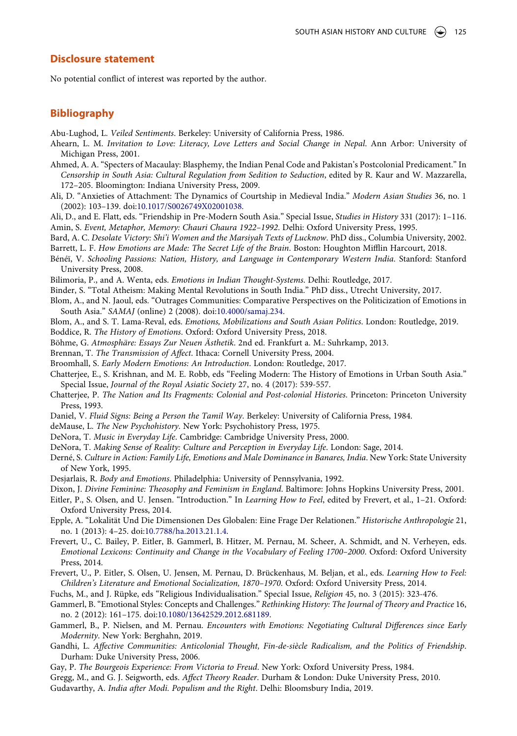#### **Disclosure statement**

No potential conflict of interest was reported by the author.

### **Bibliography**

Abu-Lughod, L. *Veiled Sentiments*. Berkeley: University of California Press, 1986.

- Ahearn, L. M. *Invitation to Love: Literacy, Love Letters and Social Change in Nepal*. Ann Arbor: University of Michigan Press, 2001.
- Ahmed, A. A. "Specters of Macaulay: Blasphemy, the Indian Penal Code and Pakistan's Postcolonial Predicament." In *Censorship in South Asia: Cultural Regulation from Sedition to Seduction*, edited by R. Kaur and W. Mazzarella, 172–205. Bloomington: Indiana University Press, 2009.
- Ali, D. "Anxieties of Attachment: The Dynamics of Courtship in Medieval India." *Modern Asian Studies* 36, no. 1 (2002): 103–139. doi:[10.1017/S0026749X02001038.](https://doi.org/10.1017/S0026749X02001038)
- Ali, D., and E. Flatt, eds. "Friendship in Pre-Modern South Asia." Special Issue, *Studies in History* 331 (2017): 1–116. Amin, S. *Event, Metaphor, Memory: Chauri Chaura 1922–1992*. Delhi: Oxford University Press, 1995.
- Bard, A. C. *Desolate Victory: Shi'i Women and the Marsiyah Texts of Lucknow*. PhD diss., Columbia University, 2002. Barrett, L. F. *How Emotions are Made: The Secret Life of the Brain*. Boston: Houghton Mifflin Harcourt, 2018.
- Bénéï, V. *Schooling Passions: Nation, History, and Language in Contemporary Western India*. Stanford: Stanford University Press, 2008.
- Bilimoria, P., and A. Wenta, eds. *Emotions in Indian Thought-Systems*. Delhi: Routledge, 2017.
- Binder, S. "Total Atheism: Making Mental Revolutions in South India." PhD diss., Utrecht University, 2017.
- Blom, A., and N. Jaoul, eds. "Outrages Communities: Comparative Perspectives on the Politicization of Emotions in South Asia." *SAMAJ* (online) 2 (2008). doi:[10.4000/samaj.234.](https://doi.org/10.4000/samaj.234)
- Blom, A., and S. T. Lama-Reval, eds. *Emotions, Mobilizations and South Asian Politics*. London: Routledge, 2019.

Boddice, R. *The History of Emotions*. Oxford: Oxford University Press, 2018.

- Böhme, G. *Atmosphäre: Essays Zur Neuen Ästhetik*. 2nd ed. Frankfurt a. M.: Suhrkamp, 2013.
- Brennan, T. *The Transmission of Affect*. Ithaca: Cornell University Press, 2004.
- Broomhall, S. *Early Modern Emotions: An Introduction*. London: Routledge, 2017.
- Chatterjee, E., S. Krishnan, and M. E. Robb, eds "Feeling Modern: The History of Emotions in Urban South Asia." Special Issue, *Journal of the Royal Asiatic Society* 27, no. 4 (2017): 539-557.
- Chatterjee, P. *The Nation and Its Fragments: Colonial and Post-colonial Histories*. Princeton: Princeton University Press, 1993.
- Daniel, V. *Fluid Signs: Being a Person the Tamil Way*. Berkeley: University of California Press, 1984.

deMause, L. *The New Psychohistory*. New York: Psychohistory Press, 1975.

- DeNora, T. *Music in Everyday Life*. Cambridge: Cambridge University Press, 2000.
- DeNora, T. *Making Sense of Reality: Culture and Perception in Everyday Life*. London: Sage, 2014.
- Derné, S. *Culture in Action: Family Life, Emotions and Male Dominance in Banares, India*. New York: State University of New York, 1995.
- Desjarlais, R. *Body and Emotions*. Philadelphia: University of Pennsylvania, 1992.
- Dixon, J. *Divine Feminine: Theosophy and Feminism in England*. Baltimore: Johns Hopkins University Press, 2001.
- Eitler, P., S. Olsen, and U. Jensen. "Introduction." In *Learning How to Feel*, edited by Frevert, et al., 1–21. Oxford: Oxford University Press, 2014.
- Epple, A. "Lokalität Und Die Dimensionen Des Globalen: Eine Frage Der Relationen." *Historische Anthropologie* 21, no. 1 (2013): 4–25. doi:[10.7788/ha.2013.21.1.4](https://doi.org/10.7788/ha.2013.21.1.4).
- Frevert, U., C. Bailey, P. Eitler, B. Gammerl, B. Hitzer, M. Pernau, M. Scheer, A. Schmidt, and N. Verheyen, eds. *Emotional Lexicons: Continuity and Change in the Vocabulary of Feeling 1700–2000*. Oxford: Oxford University Press, 2014.
- Frevert, U., P. Eitler, S. Olsen, U. Jensen, M. Pernau, D. Brückenhaus, M. Beljan, et al., eds. *Learning How to Feel: Children's Literature and Emotional Socialization, 1870–1970*. Oxford: Oxford University Press, 2014.

Fuchs, M., and J. Rüpke, eds "Religious Individualisation." Special Issue, *Religion* 45, no. 3 (2015): 323-476.

- Gammerl, B. "Emotional Styles: Concepts and Challenges." *Rethinking History: The Journal of Theory and Practice* 16, no. 2 (2012): 161–175. doi:[10.1080/13642529.2012.681189](https://doi.org/10.1080/13642529.2012.681189).
- Gammerl, B., P. Nielsen, and M. Pernau. *Encounters with Emotions: Negotiating Cultural Differences since Early Modernity*. New York: Berghahn, 2019.
- Gandhi, L. *Affective Communities: Anticolonial Thought, Fin-de-siècle Radicalism, and the Politics of Friendship*. Durham: Duke University Press, 2006.
- Gay, P. *The Bourgeois Experience: From Victoria to Freud*. New York: Oxford University Press, 1984.

Gregg, M., and G. J. Seigworth, eds. *Affect Theory Reader*. Durham & London: Duke University Press, 2010.

Gudavarthy, A. *India after Modi. Populism and the Right*. Delhi: Bloomsbury India, 2019.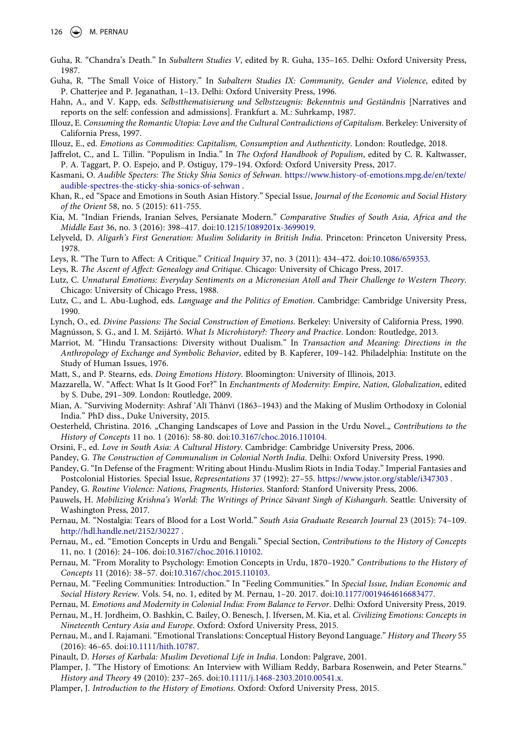- Guha, R. "Chandra's Death." In *Subaltern Studies V*, edited by R. Guha, 135–165. Delhi: Oxford University Press, 1987.
- Guha, R. "The Small Voice of History." In *Subaltern Studies IX: Community, Gender and Violence*, edited by P. Chatterjee and P. Jeganathan, 1–13. Delhi: Oxford University Press, 1996.
- Hahn, A., and V. Kapp, eds. Selbstthematisierung und Selbstzeugnis: Bekenntnis und Geständnis [Narratives and reports on the self: confession and admissions]. Frankfurt a. M.: Suhrkamp, 1987.
- Illouz, E. *Consuming the Romantic Utopia: Love and the Cultural Contradictions of Capitalism*. Berkeley: University of California Press, 1997.
- Illouz, E., ed. *Emotions as Commodities: Capitalism, Consumption and Authenticity*. London: Routledge, 2018.
- Jaffrelot, C., and L. Tillin. "Populism in India." In *The Oxford Handbook of Populism*, edited by C. R. Kaltwasser, P. A. Taggart, P. O. Espejo, and P. Ostiguy, 179–194. Oxford: Oxford University Press, 2017.
- Kasmani, O. *Audible Specters: The Sticky Shia Sonics of Sehwan*. [https://www.history-of-emotions.mpg.de/en/texte/](https://www.history-of-emotions.mpg.de/en/texte/audible-spectres-the-sticky-shia-sonics-of-sehwan) [audible-spectres-the-sticky-shia-sonics-of-sehwan](https://www.history-of-emotions.mpg.de/en/texte/audible-spectres-the-sticky-shia-sonics-of-sehwan) .
- Khan, R., ed "Space and Emotions in South Asian History." Special Issue, *Journal of the Economic and Social History of the Orient* 58, no. 5 (2015): 611-755.
- Kia, M. "Indian Friends, Iranian Selves, Persianate Modern." *Comparative Studies of South Asia, Africa and the Middle East* 36, no. 3 (2016): 398–417. doi:[10.1215/1089201x-3699019](https://doi.org/10.1215/1089201x-3699019).
- Lelyveld, D. *Aligarh's First Generation: Muslim Solidarity in British India*. Princeton: Princeton University Press, 1978.
- Leys, R. "The Turn to Affect: A Critique." *Critical Inquiry* 37, no. 3 (2011): 434–472. doi:[10.1086/659353.](https://doi.org/10.1086/659353)
- Leys, R. *The Ascent of Affect: Genealogy and Critique*. Chicago: University of Chicago Press, 2017.
- Lutz, C. *Unnatural Emotions: Everyday Sentiments on a Micronesian Atoll and Their Challenge to Western Theory*. Chicago: University of Chicago Press, 1988.
- Lutz, C., and L. Abu-Lughod, eds. *Language and the Politics of Emotion*. Cambridge: Cambridge University Press, 1990.
- Lynch, O., ed. *Divine Passions: The Social Construction of Emotions*. Berkeley: University of California Press, 1990. Magnússon, S. G., and I. M. Szijártó. *What Is Microhistory?: Theory and Practice*. London: Routledge, 2013.
- Marriot, M. "Hindu Transactions: Diversity without Dualism." In *Transaction and Meaning: Directions in the Anthropology of Exchange and Symbolic Behavior*, edited by B. Kapferer, 109–142. Philadelphia: Institute on the Study of Human Issues, 1976.
- Matt, S., and P. Stearns, eds. *Doing Emotions History*. Bloomington: University of Illinois, 2013.
- Mazzarella, W. "Affect: What Is It Good For?" In *Enchantments of Modernity: Empire, Nation, Globalization*, edited by S. Dube, 291–309. London: Routledge, 2009.
- Mian, A. "Surviving Modernity: Ashraf 'Alī Thānvī (1863–1943) and the Making of Muslim Orthodoxy in Colonial India." PhD diss., Duke University, 2015.
- Oesterheld, Christina. 2016. "Changing Landscapes of Love and Passion in the Urdu Novel." *Contributions to the History of Concepts* 11 no. 1 (2016): 58-80. doi:[10.3167/choc.2016.110104](https://doi.org/10.3167/choc.2016.110104).
- Orsini, F., ed. *Love in South Asia: A Cultural History*. Cambridge: Cambridge University Press, 2006.
- Pandey, G. *The Construction of Communalism in Colonial North India*. Delhi: Oxford University Press, 1990.
- Pandey, G. "In Defense of the Fragment: Writing about Hindu-Muslim Riots in India Today." Imperial Fantasies and Postcolonial Histories. Special Issue, *Representations* 37 (1992): 27–55. <https://www.jstor.org/stable/i347303> .
- Pandey, G. *Routine Violence: Nations, Fragments, Histories*. Stanford: Stanford University Press, 2006.
- Pauwels, H. *Mobilizing Krishna's World: The Writings of Prince Sāvant Singh of Kishangarh*. Seattle: University of Washington Press, 2017.
- Pernau, M. "Nostalgia: Tears of Blood for a Lost World." *South Asia Graduate Research Journal* 23 (2015): 74–109. <http://hdl.handle.net/2152/30227> .
- Pernau, M., ed. "Emotion Concepts in Urdu and Bengali." Special Section, *Contributions to the History of Concepts*  11, no. 1 (2016): 24–106. doi:[10.3167/choc.2016.110102.](https://doi.org/10.3167/choc.2016.110102)
- Pernau, M. "From Morality to Psychology: Emotion Concepts in Urdu, 1870–1920." *Contributions to the History of Concepts* 11 (2016): 38–57. doi:[10.3167/choc.2015.110103.](https://doi.org/10.3167/choc.2015.110103)
- Pernau, M. "Feeling Communities: Introduction." In "Feeling Communities." In *Special Issue, Indian Economic and Social History Review*. Vols. 54, no. 1, edited by M. Pernau, 1–20. 2017. doi:[10.1177/0019464616683477.](https://doi.org/10.1177/0019464616683477)
- Pernau, M. *Emotions and Modernity in Colonial India: From Balance to Fervor*. Delhi: Oxford University Press, 2019.
- Pernau, M., H. Jordheim, O. Bashkin, C. Bailey, O. Benesch, J. Ifversen, M. Kia, et al. *Civilizing Emotions: Concepts in Nineteenth Century Asia and Europe*. Oxford: Oxford University Press, 2015.
- Pernau, M., and I. Rajamani. "Emotional Translations: Conceptual History Beyond Language." *History and Theory* 55 (2016): 46–65. doi:[10.1111/hith.10787](https://doi.org/10.1111/hith.10787).
- Pinault, D. *Horses of Karbala: Muslim Devotional Life in India*. London: Palgrave, 2001.
- Plamper, J. "The History of Emotions: An Interview with William Reddy, Barbara Rosenwein, and Peter Stearns." *History and Theory* 49 (2010): 237–265. doi:[10.1111/j.1468-2303.2010.00541.x.](https://doi.org/10.1111/j.1468-2303.2010.00541.x)
- Plamper, J. *Introduction to the History of Emotions*. Oxford: Oxford University Press, 2015.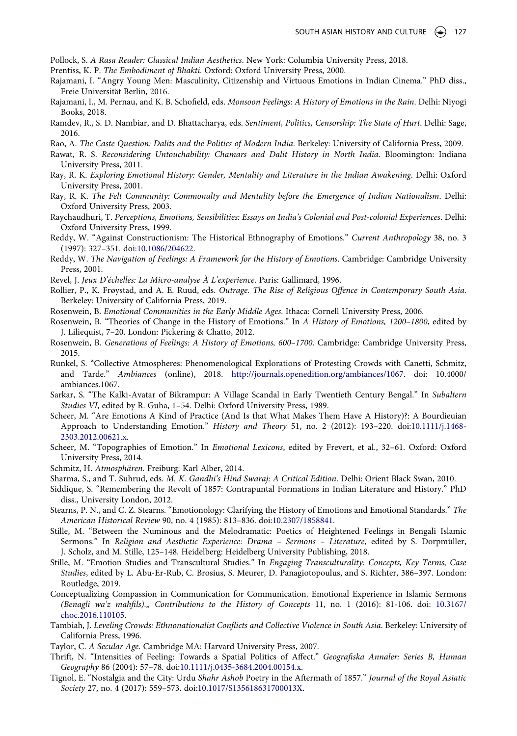Pollock, S. *A Rasa Reader: Classical Indian Aesthetics*. New York: Columbia University Press, 2018.

- Prentiss, K. P. *The Embodiment of Bhakti*. Oxford: Oxford University Press, 2000.
- Rajamani, I. "Angry Young Men: Masculinity, Citizenship and Virtuous Emotions in Indian Cinema." PhD diss., Freie Universität Berlin, 2016.
- Rajamani, I., M. Pernau, and K. B. Schofield, eds. *Monsoon Feelings: A History of Emotions in the Rain*. Delhi: Niyogi Books, 2018.
- Ramdev, R., S. D. Nambiar, and D. Bhattacharya, eds. *Sentiment, Politics, Censorship: The State of Hurt*. Delhi: Sage, 2016.
- Rao, A. *The Caste Question: Dalits and the Politics of Modern India*. Berkeley: University of California Press, 2009.
- Rawat, R. S. *Reconsidering Untouchability: Chamars and Dalit History in North India*. Bloomington: Indiana University Press, 2011.
- Ray, R. K. *Exploring Emotional History: Gender, Mentality and Literature in the Indian Awakening*. Delhi: Oxford University Press, 2001.
- Ray, R. K. *The Felt Community: Commonalty and Mentality before the Emergence of Indian Nationalism*. Delhi: Oxford University Press, 2003.
- Raychaudhuri, T. *Perceptions, Emotions, Sensibilities: Essays on India's Colonial and Post-colonial Experiences*. Delhi: Oxford University Press, 1999.
- Reddy, W. "Against Constructionism: The Historical Ethnography of Emotions." *Current Anthropology* 38, no. 3 (1997): 327–351. doi:[10.1086/204622](https://doi.org/10.1086/204622).
- Reddy, W. *The Navigation of Feelings: A Framework for the History of Emotions*. Cambridge: Cambridge University Press, 2001.
- Revel, J. *Jeux D'échelles: La Micro-analyse À L'experience*. Paris: Gallimard, 1996.
- Rollier, P., K. Frøystad, and A. E. Ruud, eds. *Outrage. The Rise of Religious Offence in Contemporary South Asia*. Berkeley: University of California Press, 2019.
- Rosenwein, B. *Emotional Communities in the Early Middle Ages*. Ithaca: Cornell University Press, 2006.
- Rosenwein, B. "Theories of Change in the History of Emotions." In *A History of Emotions, 1200–1800*, edited by J. Liliequist, 7–20. London: Pickering & Chatto, 2012.
- Rosenwein, B. *Generations of Feelings: A History of Emotions, 600–1700*. Cambridge: Cambridge University Press, 2015.
- Runkel, S. "Collective Atmospheres: Phenomenological Explorations of Protesting Crowds with Canetti, Schmitz, and Tarde." *Ambiances* (online), 2018. <http://journals.openedition.org/ambiances/1067>. doi: 10.4000/ ambiances.1067.
- Sarkar, S. "The Kalki-Avatar of Bikrampur: A Village Scandal in Early Twentieth Century Bengal." In *Subaltern Studies VI*, edited by R. Guha, 1–54. Delhi: Oxford University Press, 1989.
- Scheer, M. "Are Emotions A Kind of Practice (And Is that What Makes Them Have A History)?: A Bourdieuian Approach to Understanding Emotion." *History and Theory* 51, no. 2 (2012): 193–220. doi:[10.1111/j.1468-](https://doi.org/10.1111/j.1468-2303.2012.00621.x) [2303.2012.00621.x.](https://doi.org/10.1111/j.1468-2303.2012.00621.x)
- Scheer, M. "Topographies of Emotion." In *Emotional Lexicons*, edited by Frevert, et al., 32–61. Oxford: Oxford University Press, 2014.
- Schmitz, H. *Atmosphären*. Freiburg: Karl Alber, 2014.
- Sharma, S., and T. Suhrud, eds. *M. K. Gandhi's Hind Swaraj: A Critical Edition*. Delhi: Orient Black Swan, 2010.
- Siddique, S. "Remembering the Revolt of 1857: Contrapuntal Formations in Indian Literature and History." PhD diss., University London, 2012.
- Stearns, P. N., and C. Z. Stearns. "Emotionology: Clarifying the History of Emotions and Emotional Standards." *The American Historical Review* 90, no. 4 (1985): 813–836. doi:[10.2307/1858841.](https://doi.org/10.2307/1858841)
- Stille, M. "Between the Numinous and the Melodramatic: Poetics of Heightened Feelings in Bengali Islamic Sermons." In *Religion and Aesthetic Experience: Drama – Sermons – Literature*, edited by S. Dorpmüller, J. Scholz, and M. Stille, 125–148. Heidelberg: Heidelberg University Publishing, 2018.
- Stille, M. "Emotion Studies and Transcultural Studies." In *Engaging Transculturality: Concepts, Key Terms, Case Studies*, edited by L. Abu-Er-Rub, C. Brosius, S. Meurer, D. Panagiotopoulus, and S. Richter, 386–397. London: Routledge, 2019.
- Conceptualizing Compassion in Communication for Communication. Emotional Experience in Islamic Sermons *(Benagli wa'z mahfils)." Contributions to the History of Concepts* 11, no. 1 (2016): 81-106. doi: [10.3167/](https://doi.org/10.3167/choc.2016.110105) [choc.2016.110105.](https://doi.org/10.3167/choc.2016.110105)
- Tambiah, J. *Leveling Crowds: Ethnonationalist Conflicts and Collective Violence in South Asia*. Berkeley: University of California Press, 1996.
- Taylor, C. *A Secular Age*. Cambridge MA: Harvard University Press, 2007.
- Thrift, N. "Intensities of Feeling: Towards a Spatial Politics of Affect." *Geografiska Annaler: Series B, Human Geography* 86 (2004): 57–78. doi:[10.1111/j.0435-3684.2004.00154.x](https://doi.org/10.1111/j.0435-3684.2004.00154.x).
- Tignol, E. "Nostalgia and the City: Urdu *Shahr Āshob* Poetry in the Aftermath of 1857." *Journal of the Royal Asiatic Society* 27, no. 4 (2017): 559–573. doi:[10.1017/S135618631700013X.](https://doi.org/10.1017/S135618631700013X)